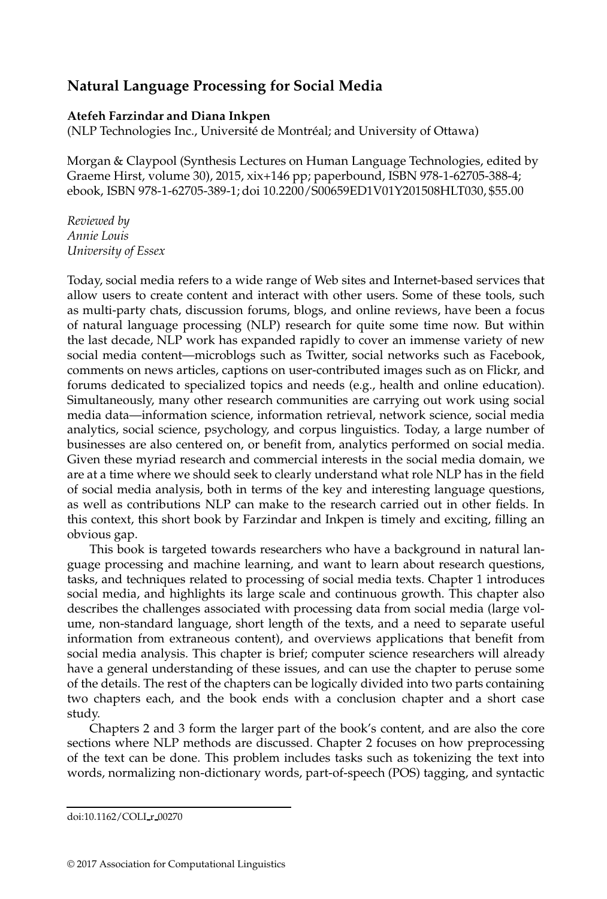## **Natural Language Processing for Social Media**

## **Atefeh Farzindar and Diana Inkpen**

(NLP Technologies Inc., Université de Montréal; and University of Ottawa)

Morgan & Claypool (Synthesis Lectures on Human Language Technologies, edited by Graeme Hirst, volume 30), 2015, xix+146 pp; paperbound, ISBN 978-1-62705-388-4; ebook, ISBN 978-1-62705-389-1; doi 10.2200/S00659ED1V01Y201508HLT030, \$55.00

*Reviewed by Annie Louis University of Essex*

Today, social media refers to a wide range of Web sites and Internet-based services that allow users to create content and interact with other users. Some of these tools, such as multi-party chats, discussion forums, blogs, and online reviews, have been a focus of natural language processing (NLP) research for quite some time now. But within the last decade, NLP work has expanded rapidly to cover an immense variety of new social media content—microblogs such as Twitter, social networks such as Facebook, comments on news articles, captions on user-contributed images such as on Flickr, and forums dedicated to specialized topics and needs (e.g., health and online education). Simultaneously, many other research communities are carrying out work using social media data—information science, information retrieval, network science, social media analytics, social science, psychology, and corpus linguistics. Today, a large number of businesses are also centered on, or benefit from, analytics performed on social media. Given these myriad research and commercial interests in the social media domain, we are at a time where we should seek to clearly understand what role NLP has in the field of social media analysis, both in terms of the key and interesting language questions, as well as contributions NLP can make to the research carried out in other fields. In this context, this short book by Farzindar and Inkpen is timely and exciting, filling an obvious gap.

This book is targeted towards researchers who have a background in natural language processing and machine learning, and want to learn about research questions, tasks, and techniques related to processing of social media texts. Chapter 1 introduces social media, and highlights its large scale and continuous growth. This chapter also describes the challenges associated with processing data from social media (large volume, non-standard language, short length of the texts, and a need to separate useful information from extraneous content), and overviews applications that benefit from social media analysis. This chapter is brief; computer science researchers will already have a general understanding of these issues, and can use the chapter to peruse some of the details. The rest of the chapters can be logically divided into two parts containing two chapters each, and the book ends with a conclusion chapter and a short case study.

Chapters 2 and 3 form the larger part of the book's content, and are also the core sections where NLP methods are discussed. Chapter 2 focuses on how preprocessing of the text can be done. This problem includes tasks such as tokenizing the text into words, normalizing non-dictionary words, part-of-speech (POS) tagging, and syntactic

doi:10.1162/COLI r 00270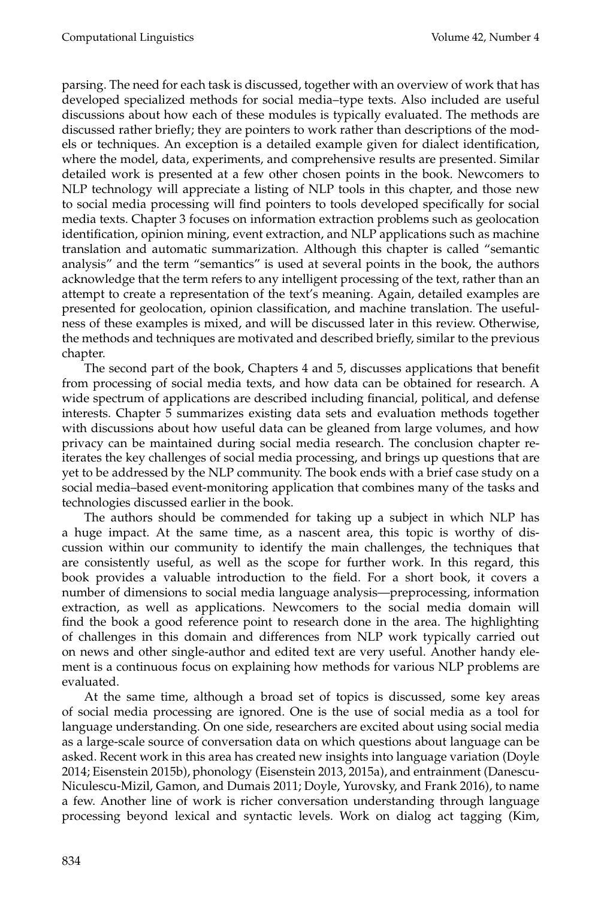parsing. The need for each task is discussed, together with an overview of work that has developed specialized methods for social media–type texts. Also included are useful discussions about how each of these modules is typically evaluated. The methods are discussed rather briefly; they are pointers to work rather than descriptions of the models or techniques. An exception is a detailed example given for dialect identification, where the model, data, experiments, and comprehensive results are presented. Similar detailed work is presented at a few other chosen points in the book. Newcomers to NLP technology will appreciate a listing of NLP tools in this chapter, and those new to social media processing will find pointers to tools developed specifically for social media texts. Chapter 3 focuses on information extraction problems such as geolocation identification, opinion mining, event extraction, and NLP applications such as machine translation and automatic summarization. Although this chapter is called "semantic analysis" and the term "semantics" is used at several points in the book, the authors acknowledge that the term refers to any intelligent processing of the text, rather than an attempt to create a representation of the text's meaning. Again, detailed examples are presented for geolocation, opinion classification, and machine translation. The usefulness of these examples is mixed, and will be discussed later in this review. Otherwise, the methods and techniques are motivated and described briefly, similar to the previous chapter.

The second part of the book, Chapters 4 and 5, discusses applications that benefit from processing of social media texts, and how data can be obtained for research. A wide spectrum of applications are described including financial, political, and defense interests. Chapter 5 summarizes existing data sets and evaluation methods together with discussions about how useful data can be gleaned from large volumes, and how privacy can be maintained during social media research. The conclusion chapter reiterates the key challenges of social media processing, and brings up questions that are yet to be addressed by the NLP community. The book ends with a brief case study on a social media–based event-monitoring application that combines many of the tasks and technologies discussed earlier in the book.

The authors should be commended for taking up a subject in which NLP has a huge impact. At the same time, as a nascent area, this topic is worthy of discussion within our community to identify the main challenges, the techniques that are consistently useful, as well as the scope for further work. In this regard, this book provides a valuable introduction to the field. For a short book, it covers a number of dimensions to social media language analysis—preprocessing, information extraction, as well as applications. Newcomers to the social media domain will find the book a good reference point to research done in the area. The highlighting of challenges in this domain and differences from NLP work typically carried out on news and other single-author and edited text are very useful. Another handy element is a continuous focus on explaining how methods for various NLP problems are evaluated.

At the same time, although a broad set of topics is discussed, some key areas of social media processing are ignored. One is the use of social media as a tool for language understanding. On one side, researchers are excited about using social media as a large-scale source of conversation data on which questions about language can be asked. Recent work in this area has created new insights into language variation (Doyle 2014; Eisenstein 2015b), phonology (Eisenstein 2013, 2015a), and entrainment (Danescu-Niculescu-Mizil, Gamon, and Dumais 2011; Doyle, Yurovsky, and Frank 2016), to name a few. Another line of work is richer conversation understanding through language processing beyond lexical and syntactic levels. Work on dialog act tagging (Kim,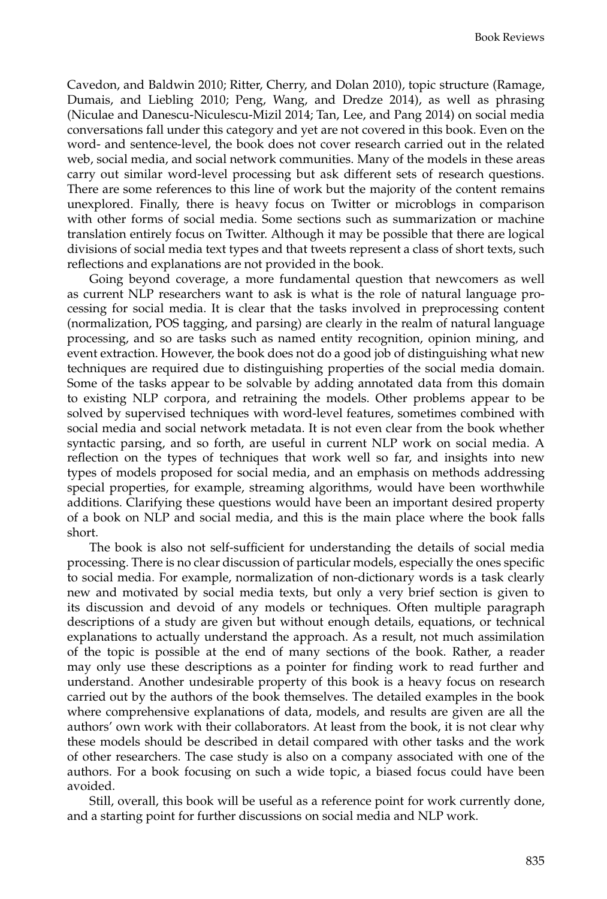Cavedon, and Baldwin 2010; Ritter, Cherry, and Dolan 2010), topic structure (Ramage, Dumais, and Liebling 2010; Peng, Wang, and Dredze 2014), as well as phrasing (Niculae and Danescu-Niculescu-Mizil 2014; Tan, Lee, and Pang 2014) on social media conversations fall under this category and yet are not covered in this book. Even on the word- and sentence-level, the book does not cover research carried out in the related web, social media, and social network communities. Many of the models in these areas carry out similar word-level processing but ask different sets of research questions. There are some references to this line of work but the majority of the content remains unexplored. Finally, there is heavy focus on Twitter or microblogs in comparison with other forms of social media. Some sections such as summarization or machine translation entirely focus on Twitter. Although it may be possible that there are logical divisions of social media text types and that tweets represent a class of short texts, such reflections and explanations are not provided in the book.

Going beyond coverage, a more fundamental question that newcomers as well as current NLP researchers want to ask is what is the role of natural language processing for social media. It is clear that the tasks involved in preprocessing content (normalization, POS tagging, and parsing) are clearly in the realm of natural language processing, and so are tasks such as named entity recognition, opinion mining, and event extraction. However, the book does not do a good job of distinguishing what new techniques are required due to distinguishing properties of the social media domain. Some of the tasks appear to be solvable by adding annotated data from this domain to existing NLP corpora, and retraining the models. Other problems appear to be solved by supervised techniques with word-level features, sometimes combined with social media and social network metadata. It is not even clear from the book whether syntactic parsing, and so forth, are useful in current NLP work on social media. A reflection on the types of techniques that work well so far, and insights into new types of models proposed for social media, and an emphasis on methods addressing special properties, for example, streaming algorithms, would have been worthwhile additions. Clarifying these questions would have been an important desired property of a book on NLP and social media, and this is the main place where the book falls short.

The book is also not self-sufficient for understanding the details of social media processing. There is no clear discussion of particular models, especially the ones specific to social media. For example, normalization of non-dictionary words is a task clearly new and motivated by social media texts, but only a very brief section is given to its discussion and devoid of any models or techniques. Often multiple paragraph descriptions of a study are given but without enough details, equations, or technical explanations to actually understand the approach. As a result, not much assimilation of the topic is possible at the end of many sections of the book. Rather, a reader may only use these descriptions as a pointer for finding work to read further and understand. Another undesirable property of this book is a heavy focus on research carried out by the authors of the book themselves. The detailed examples in the book where comprehensive explanations of data, models, and results are given are all the authors' own work with their collaborators. At least from the book, it is not clear why these models should be described in detail compared with other tasks and the work of other researchers. The case study is also on a company associated with one of the authors. For a book focusing on such a wide topic, a biased focus could have been avoided.

Still, overall, this book will be useful as a reference point for work currently done, and a starting point for further discussions on social media and NLP work.